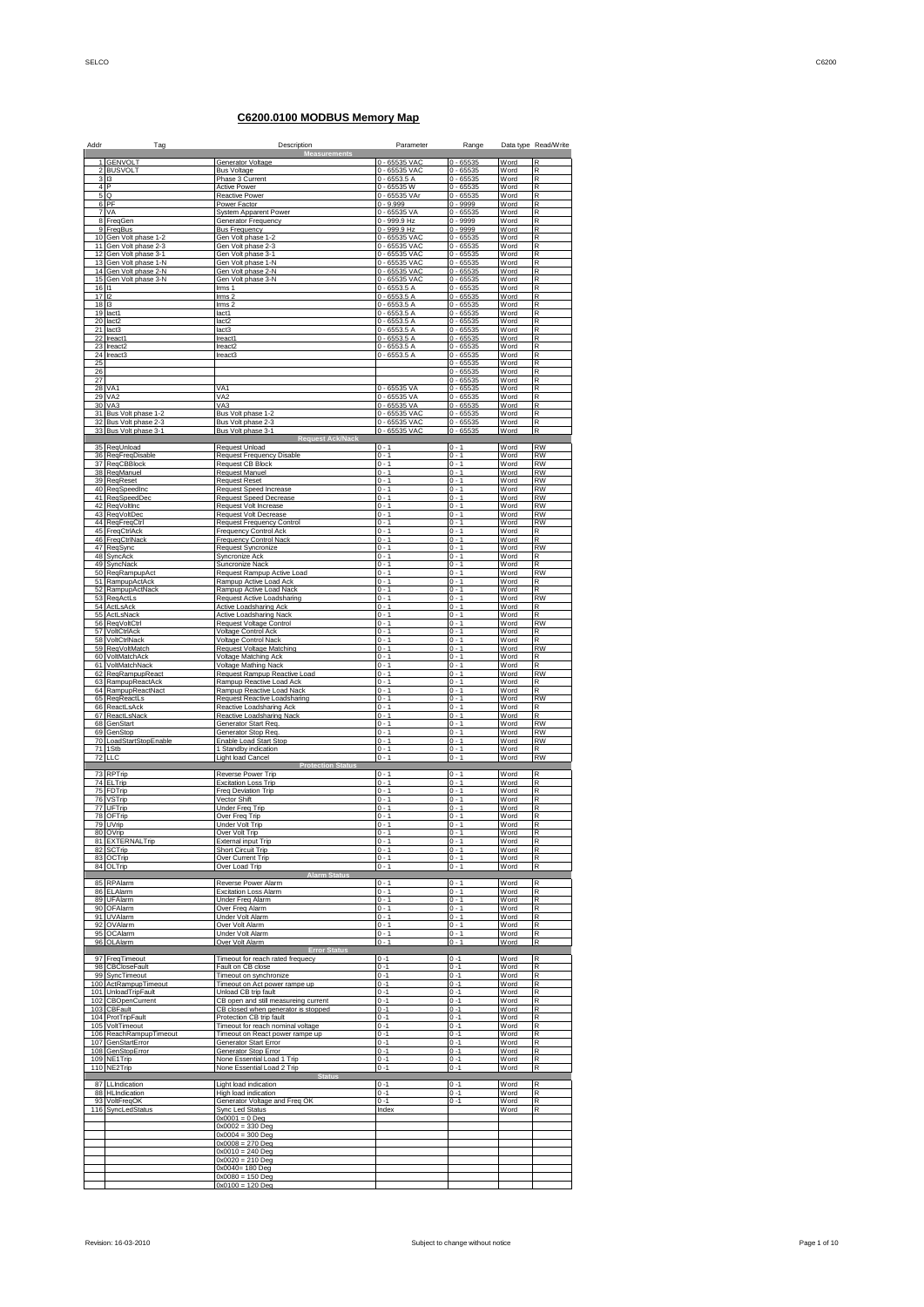## **C6200.0100 MODBUS Memory Map**

| Addr            | Tag                                      | Description<br><b>Measurements</b>                                   | Parameter                        | Range                      |              | Data type Read/Write   |
|-----------------|------------------------------------------|----------------------------------------------------------------------|----------------------------------|----------------------------|--------------|------------------------|
| 1               | <b>GENVOLT</b>                           | Generator Voltage                                                    | 0 - 65535 VAC                    | $0 - 65535$                | Word         | R                      |
| 3               | 2 BUSVOLT<br> 3                          | <b>Bus Voltage</b><br>Phase 3 Current                                | 0 - 65535 VAC<br>$0 - 6553.5A$   | $0 - 65535$<br>$0 - 65535$ | Word<br>Word | R<br>R                 |
| 4               | P                                        | <b>Active Power</b>                                                  | $0 - 65535$ W                    | $0 - 65535$                | Word         | R                      |
| 5<br>6          | Q<br>PF                                  | <b>Reactive Power</b><br>Power Factor                                | 0 - 65535 VA<br>$0 - 9.999$      | $0 - 65535$<br>$0 - 9999$  | Word<br>Word | R<br>R                 |
| $\overline{7}$  | VA                                       | <b>System Apparent Power</b>                                         | $0 - 65535 VA$                   | $0 - 65535$                | Word         | R                      |
|                 | 8 FreqGen<br>9 FreqBus                   | <b>Generator Frequency</b><br><b>Bus Frequency</b>                   | $0 - 999.9$ Hz<br>$0 - 999.9$ Hz | $0 - 9999$<br>$0 - 9999$   | Word<br>Word | R<br>R                 |
| 10              | Gen Volt phase 1-2                       | Gen Volt phase 1-2                                                   | $0 - 65535$ VAC                  | $0 - 65535$                | Word         | R                      |
| 11<br>12        | Gen Volt phase 2-3<br>Gen Volt phase 3-1 | Gen Volt phase 2-3<br>Gen Volt phase 3-1                             | 0 - 65535 VAC<br>0 - 65535 VAC   | $0 - 65535$<br>$0 - 65535$ | Word<br>Word | R<br>R                 |
| 13<br>14        | Gen Volt phase 1-N                       | Gen Volt phase 1-N                                                   | 0 - 65535 VAC                    | $0 - 65535$                | Word         | R                      |
| 15              | Gen Volt phase 2-N<br>Gen Volt phase 3-N | Gen Volt phase 2-N<br>Gen Volt phase 3-N                             | 0 - 65535 VAC<br>0 - 65535 VAC   | $0 - 65535$<br>$0 - 65535$ | Word<br>Word | R<br>R                 |
| 16<br>17        | 11<br>12                                 | Irms 1<br>lms <sub>2</sub>                                           | $0 - 6553.5 A$<br>$0 - 6553.5A$  | $0 - 65535$<br>$0 - 65535$ | Word<br>Word | R<br>R                 |
| 18              | 13                                       | lms <sub>2</sub>                                                     | $0 - 6553.5A$                    | $0 - 65535$                | Word         | R                      |
| 20              | 19 lact1<br>lact <sub>2</sub>            | lact1<br>lact <sub>2</sub>                                           | $0 - 6553.5 A$<br>$0 - 6553.5A$  | $0 - 65535$<br>$0 - 65535$ | Word<br>Word | R<br>R                 |
| 21              | lact <sub>3</sub>                        | lact3                                                                | $0 - 6553.5 A$                   | $0 - 65535$                | Word         | R                      |
| 22<br>23        | Ireact1<br>Ireact2                       | Ireact <sup>*</sup><br>Ireact2                                       | $0 - 6553.5A$<br>$0 - 6553.5A$   | $0 - 65535$<br>$0 - 65535$ | Word<br>Word | R<br>R                 |
|                 | 24 Ireact3                               | Ireact3                                                              | $0 - 6553.5A$                    | $0 - 65535$                | Word         | R                      |
| 25<br>26        |                                          |                                                                      |                                  | $0 - 65535$<br>$0 - 65535$ | Word<br>Word | R<br>R                 |
| 27<br>28        | VA <sub>1</sub>                          | VA1                                                                  | $0 - 65535$ VA                   | $0 - 65535$<br>$0 - 65535$ | Word<br>Word | R<br>R                 |
| 29              | VA <sub>2</sub>                          | VA <sub>2</sub>                                                      | $0 - 65535$ VA                   | $0 - 65535$                | Word         | R                      |
| 30<br>31        | VA3<br>Bus Volt phase 1-2                | VA <sub>3</sub><br>Bus Volt phase 1-2                                | $0 - 65535 VA$<br>0 - 65535 VAC  | $0 - 65535$<br>$0 - 65535$ | Word<br>Word | R<br>R                 |
| $3\overline{2}$ | Bus Volt phase 2-3                       | Bus Volt phase 2-3                                                   | 0 - 65535 VAC                    | $0 - 65535$                | Word         | R                      |
|                 | 33 Bus Volt phase 3-1                    | Bus Volt phase 3-1<br><b>Request Ack/Nack</b>                        | 0 - 65535 VAC                    | $0 - 65535$                | Word         | $\mathsf R$            |
| 35<br>36        | RegUnload                                | Request Unload                                                       | $0 - 1$<br>$0 - 1$               | $0 - 1$<br>$0 - 1$         | Word<br>Word | <b>RW</b><br>RW        |
| 37              | ReqFreqDisable<br>ReqCBBlock             | <b>Request Frequency Disable</b><br><b>Request CB Block</b>          | $0 - 1$                          | $0 - 1$                    | Word         | <b>RW</b>              |
| 38              | RegManuel<br>39 ReqReset                 | <b>Request Manuel</b><br><b>Request Reset</b>                        | $0 - 1$<br>$0 - 1$               | $0 - 1$<br>$0 - 1$         | Word<br>Word | <b>RW</b><br><b>RW</b> |
| 40              | RegSpeedInc                              | Request Speed Increase                                               | $0 - 1$                          | $0 - 1$                    | Word         | <b>RW</b>              |
| 41<br>42        | ReqSpeedDec<br><b>ReqVoltinc</b>         | <b>Reguest Speed Decrease</b><br>Request Volt Increase               | $0 - 1$<br>$0 - 1$               | $0 - 1$<br>$0 - 1$         | Word<br>Word | RW<br><b>RW</b>        |
| 43              | ReqVoltDec<br>44 ReqFreqCtrl             | <b>Request Volt Decrease</b><br>Request Frequency Control            | $0 - 1$<br>$0 - 1$               | $0 - 1$<br>$0 - 1$         | Word<br>Word | <b>RW</b><br><b>RW</b> |
| 45              | FreqCtrlAck                              | <b>Frequency Control Ack</b>                                         | $0 - 1$                          | $0 - 1$                    | Word         | R                      |
| 46<br>47        | FreqCtrlNack<br>ReqSync                  | <b>Frequency Control Nack</b><br>Request Syncronize                  | $0 - 1$<br>$0 - 1$               | $0 - 1$<br>$0 - 1$         | Word<br>Word | R<br><b>RW</b>         |
| 48<br>49        | SyncAck                                  | Syncronize Ack<br>Suncronize Nack                                    | $0 - 1$<br>$0 - 1$               | $0 - 1$<br>$0 - 1$         | Word<br>Word | R<br>R                 |
| 50              | SyncNack<br>ReqRampupAct                 | Request Rampup Active Load                                           | $0 - 1$                          | $0 - 1$                    | Word         | <b>RW</b>              |
| 51<br>52        | RampupActAck<br>RampupActNack            | Rampup Active Load Ack<br>Rampup Active Load Nack                    | $0 - 1$<br>$0 - 1$               | $0 - 1$<br>$0 - 1$         | Word<br>Word | R<br>R                 |
| 53              | RegActLs                                 | <b>Request Active Loadsharing</b>                                    | $0 - 1$<br>$0 - 1$               | $0 - 1$<br>$0 - 1$         | Word         | <b>RW</b><br>R         |
| 55              | 54 ActLsAck<br>ActLsNack                 | Active Loadsharing Ack<br>Active Loadsharing Nack                    | $0 - 1$                          | $0 - 1$                    | Word<br>Word | R                      |
| 56<br>57        | ReqVoltCtrl<br>VoltCtrlAck               | <b>Request Voltage Control</b><br>Voltage Control Ack                | $0 - 1$<br>$0 - 1$               | $0 - 1$<br>$0 - 1$         | Word<br>Word | <b>RW</b><br>R         |
| 58              | VoltCtrlNack                             | <b>Voltage Control Nack</b>                                          | $0 - 1$                          | $0 - 1$                    | Word         | R                      |
| 60              | 59 ReqVoltMatch<br>VoltMatchAck          | Request Voltage Matching<br>Voltage Matching Ack                     | $0 - 1$<br>$0 - 1$               | $0 - 1$<br>$0 - 1$         | Word<br>Word | <b>RW</b>              |
| 61<br>62        | VoltMatchNack                            | Voltage Mathing Nack<br>Request Rampup Reactive Load                 | $0 - 1$<br>$0 - 1$               | $0 - 1$<br>$0 - 1$         | Word<br>Word | R<br><b>RW</b>         |
|                 | RegRampupReact<br>63 RampupReactAck      | Rampup Reactive Load Ack                                             | $0 - 1$                          | $0 - 1$                    | Word         | R                      |
| 65              | 64 RampupReactNact<br>ReqReactLs         | Rampup Reactive Load Nack<br>Request Reactive Loadsharing            | $0 - 1$<br>$0 - 1$               | $0 - 1$<br>$0 - 1$         | Word<br>Word | R<br><b>RW</b>         |
| 66<br>67        | ReactLsAck                               | Reactive Loadsharing Ack                                             | $0 - 1$<br>$0 - 1$               | $0 - 1$<br>$0 - 1$         | Word<br>Word | R<br>R                 |
|                 | ReactLsNack<br>68 GenStart               | Reactive Loadsharing Nack<br>Generator Start Req.                    | $0 - 1$                          | $0 - 1$                    | Word         | <b>RW</b>              |
| 70              | 69 GenStop<br>LoadStartStopEnable        | Generator Stop Req.<br>Enable Load Start Stop                        | $0 - 1$<br>$0 - 1$               | $0 - 1$<br>$0 - 1$         | Word<br>Word | <b>RW</b><br><b>RW</b> |
| 71<br>72        | 1Stb<br><b>LLC</b>                       | 1 Standby indication<br><b>Light load Cancel</b>                     | $0 - 1$<br>$0 - 1$               | $0 - 1$<br>$0 - 1$         | Word<br>Word | R<br><b>RW</b>         |
|                 |                                          | <b>Protection Status</b>                                             |                                  |                            |              |                        |
| 74              | 73 RPTrip<br>ELTrip                      | Reverse Power Trip<br><b>Excitation Loss Trip</b>                    | $0 - 1$<br>$0 - 1$               | $0 - 1$<br>$0 - 1$         | Word<br>Word | R<br>R                 |
| 75<br>76        | FDTrip<br>VSTrip                         | Freq Deviation Trip<br>Vector Shift                                  | $0 - 1$<br>$0 - 1$               | $0 - 1$<br>$0 - 1$         | Word<br>Word | R<br>R                 |
|                 | 77 UFTrip                                | Under Freq Trip                                                      | $0 - 1$                          | $0 - 1$                    | Word         | R                      |
| 79              | 78 OFTrip<br>UVrip                       | Over Freq Trip<br>Under Volt Trip                                    | $0 - 1$<br>$0 - 1$               | $0 - 1$<br>$0 - 1$         | Word<br>Word | R<br>R                 |
|                 | 80 OVrip                                 | Over Volt Trip                                                       | $0 - 1$                          | $0 - 1$                    | Word         | R                      |
|                 | 81 EXTERNALTrip<br>82 SCTrip             | <b>External input Trip</b><br>Short Circuit Trip                     | $0 - 1$<br>$0 - 1$               | $0 - 1$<br>$0 - 1$         | Word<br>Word | R<br>$\mathsf R$       |
|                 | 83 OCTrip<br>84 OLTrip                   | Over Current Trip<br>Over Load Trip                                  | $0 - 1$<br>$0 - 1$               | $0 - 1$<br>$0 - 1$         | Word<br>Word | R<br>R                 |
|                 |                                          |                                                                      |                                  |                            |              |                        |
|                 | 85 RPAlarm<br>86 FI Alarm                | Reverse Power Alarm<br><b>Excitation Loss Alarm</b>                  | $0 - 1$<br>$0 - 1$               | $0 - 1$<br>$0 - 1$         | Word<br>Word | R<br>R                 |
| 90              | 89 UFAlarm<br>OFAlarm                    | <b>Under Freq Alarm</b><br>Over Freq Alarm                           | $0 - 1$<br>$0 - 1$               | $0 - 1$<br>$0 - 1$         | Word<br>Word | R<br>R                 |
|                 | 91 UVAlarm                               | Under Volt Alarm                                                     | $0 - 1$                          | $0 - 1$                    | Word         | R                      |
|                 | 92 OVAlarm<br>95 OCAlarm                 | Over Volt Alarm<br>Under Volt Alarm                                  | $0 - 1$<br>$0 - 1$               | $0 - 1$<br>$0 - 1$         | Word<br>Word | R<br>R                 |
|                 | 96 OLAlarm                               | Over Volt Alarm<br><b>Error Status</b>                               | $0 - 1$                          | $0 - 1$                    | Word         | $\overline{R}$         |
| 97              | FreqTimeout                              | Timeout for reach rated frequecy                                     | $0 - 1$                          | $0 - 1$                    | Word         | R                      |
|                 | 98 CBCloseFault<br>99 SyncTimeout        | Fault on CB close<br>Timeout on synchronize                          | $0 - 1$<br>$0 - 1$               | $0 - 1$<br>$0 - 1$         | Word<br>Word | R<br>$\mathsf R$       |
| 101             | 100 ActRampupTimeout<br>UnloadTripFault  | Timeout on Act power rampe up<br>Unload CB trip fault                | $0 - 1$<br>$0 - 1$               | $0 - 1$<br>$0 - 1$         | Word<br>Word | R<br>R                 |
| 102             | CBOpenCurrent                            | CB open and still measureing current                                 | $0 - 1$                          | $0 - 1$                    | Word         | R                      |
|                 | 103 CBFault<br>104 ProtTripFault         | CB closed when generator is stopped<br>Protection CB trip fault      | $0 - 1$<br>$0 - 1$               | $0 - 1$<br>$0 - 1$         | Word<br>Word | R<br>R                 |
|                 | 105 VoltTimeout                          | Timeout for reach nominal voltage<br>Timeout on React power rampe up | $0 - 1$                          | $0 - 1$                    | Word         | R                      |
| 107             | 106 ReachRampupTimeout<br>GenStartError  | Generator Start Error                                                | $0 - 1$<br>$0 - 1$               | $0 - 1$<br>$0 - 1$         | Word<br>Word | R<br>R                 |
| 108             | GenStopError<br>109 NE1Trip              | Generator Stop Error<br>None Essential Load 1 Trip                   | $0 - 1$<br>$0 - 1$               | $0 - 1$<br>$0 - 1$         | Word<br>Word | R<br>R                 |
|                 | 110 NE2Trip                              | None Essential Load 2 Trip                                           | $0 - 1$                          | $0 - 1$                    | Word         | R                      |
| 87              | LLIndication                             | <b>Status</b><br>Light load indication                               | $0 - 1$                          | $0 - 1$                    | Word         | R                      |
|                 | 88 HLIndication<br>93 VoltFreqOK         | High load indication<br>Generator Voltage and Freq OK                | $0 - 1$<br>$0 - 1$               | $0 - 1$<br>$0 - 1$         | Word<br>Word | R<br>R                 |
|                 | 116 SyncLedStatus                        | <b>Sync Led Status</b>                                               | Index                            |                            | Word         | R                      |
|                 |                                          | $0x0001 = 0$ Deg<br>$0x0002 = 330$ Deg                               |                                  |                            |              |                        |
|                 |                                          | $0x0004 = 300$ Deg<br>$0x0008 = 270$ Deg                             |                                  |                            |              |                        |
|                 |                                          | $0x0010 = 240$ Deg                                                   |                                  |                            |              |                        |
|                 |                                          | $0x0020 = 210$ Deg<br>0x0040= 180 Deg                                |                                  |                            |              |                        |
|                 |                                          | $0x0080 = 150$ Deg<br>$0x0100 = 120$ Deg                             |                                  |                            |              |                        |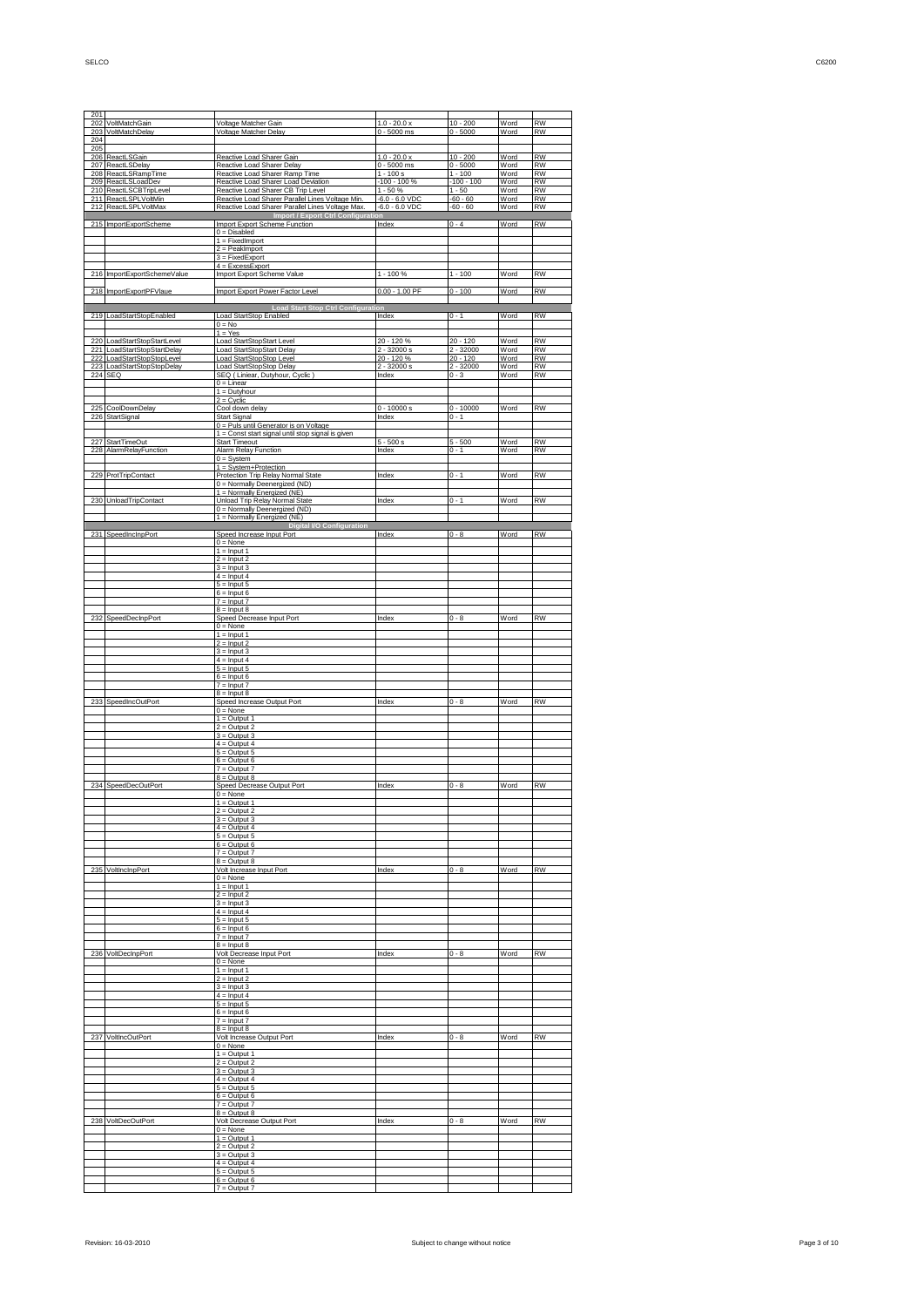| 204        | 203 VoltMatchDelay                               | <u>Voltage Matcher Delay</u>                                                                | 0 - 5000 ms                   | $0 - 5000$                | Word         | RW                     |
|------------|--------------------------------------------------|---------------------------------------------------------------------------------------------|-------------------------------|---------------------------|--------------|------------------------|
| 205        |                                                  |                                                                                             |                               |                           |              |                        |
| 206        | ReactLSGain                                      | Reactive Load Sharer Gain                                                                   | $1.0 - 20.0 x$                | $10 - 200$                | Word         | <b>RW</b><br><b>RW</b> |
|            | 207 ReactLSDelay<br>208 ReactLSRampTime          | Reactive Load Sharer Delay<br>Reactive Load Sharer Ramp Time                                | $0 - 5000$ ms<br>$1 - 100 s$  | $0 - 5000$<br>$1 - 100$   | Word<br>Word | <b>RW</b>              |
|            | 209 ReactLSLoadDev                               | Reactive Load Sharer Load Deviation                                                         | -100 - 100 %                  | $-100 - 100$              | Word         | <b>RW</b>              |
|            | 210 ReactLSCBTripLevel<br>ReactLSPLVoltMin       | Reactive Load Sharer CB Trip Level<br>Reactive Load Sharer Parallel Lines Voltage Min.      | $1 - 50%$<br>$-6.0 - 6.0$ VDC | $1 - 50$<br>$-60 - 60$    | Word<br>Word | <b>RW</b><br><b>RW</b> |
| 211        | 212 ReactLSPLVoltMax                             | Reactive Load Sharer Parallel Lines Voltage Max                                             | $-6.0 - 6.0$ VDC              | $-60 - 60$                | Word         | <b>RW</b>              |
|            |                                                  | <b>Import / Export Ctrl Configurat</b>                                                      |                               |                           |              |                        |
|            | 215 ImportExportScheme                           | Import Export Scheme Function<br>$0 = Disabled$                                             | Index                         | $0 - 4$                   | Word         | <b>RW</b>              |
|            |                                                  | $1 = FixedImport$                                                                           |                               |                           |              |                        |
|            |                                                  | $2 =$ PeakImport                                                                            |                               |                           |              |                        |
|            |                                                  | $3 = FixedExpert$<br>$4 = ExcessExpert$                                                     |                               |                           |              |                        |
|            | 216 ImportExportSchemeValue                      | Import Export Scheme Value                                                                  | $1 - 100%$                    | $1 - 100$                 | Word         | <b>RW</b>              |
|            |                                                  |                                                                                             |                               |                           |              |                        |
|            | 218 ImportExportPFVlaue                          | Import Export Power Factor Level                                                            | $0.00 - 1.00$ PF              | $0 - 100$                 | Word         | <b>RW</b>              |
|            |                                                  | <b>Load Start Stop Ctrl Configur</b>                                                        |                               |                           |              |                        |
|            | 219 LoadStartStopEnabled                         | <b>Load StartStop Enabled</b>                                                               | Index                         | $0 - 1$                   | Word         | <b>RW</b>              |
|            |                                                  | $0 = No$<br>$1 = Yes$                                                                       |                               |                           |              |                        |
| 220        | LoadStartStopStartLevel                          | Load StartStopStart Level                                                                   | 20 - 120 %                    | $20 - 120$                | Word         | <b>RW</b>              |
|            | 221 LoadStartStopStartDelay                      | Load StartStopStart Delay                                                                   | $2 - 32000 s$                 | $2 - 32000$               | Word         | <b>RW</b>              |
| 222<br>223 | LoadStartStopStopLevel<br>LoadStartStopStopDelay | Load StartStopStop Level<br>Load StartStopStop Delay                                        | 20 - 120 %<br>$2 - 32000 s$   | $20 - 120$<br>$2 - 32000$ | Word<br>Word | <b>RW</b><br><b>RW</b> |
| 224 SEQ    |                                                  | SEQ (Liniear, Dutyhour, Cyclic)                                                             | Index                         | $0 - 3$                   | Word         | <b>RW</b>              |
|            |                                                  | $0 =$ Linear                                                                                |                               |                           |              |                        |
|            |                                                  | $1 =$ Dutyhour<br>$2 = C$ yclic                                                             |                               |                           |              |                        |
| 225        | CoolDownDelay                                    | Cool down delay                                                                             | $0 - 10000 s$                 | $0 - 10000$               | Word         | <b>RW</b>              |
| 226        | StartSignal                                      | <b>Start Signal</b>                                                                         | Index                         | $0 - 1$                   |              |                        |
|            |                                                  | 0 = Puls until Generator is on Voltage<br>1 = Const start signal until stop signal is given |                               |                           |              |                        |
| 227        | <b>StartTimeOut</b>                              | <b>Start Timeout</b>                                                                        | $5 - 500 s$                   | $5 - 500$                 | Word         | <b>RW</b>              |
| 228        | AlarmRelayFunction                               | Alarm Relay Function                                                                        | Index                         | $0 - 1$                   | Word         | <b>RW</b>              |
|            |                                                  | $0 = System$<br>1 = System+Protection                                                       |                               |                           |              |                        |
|            | 229 ProtTripContact                              | Protection Trip Relay Normal State                                                          | Index                         | $0 - 1$                   | Word         | <b>RW</b>              |
|            |                                                  | 0 = Normally Deenergized (ND)                                                               |                               |                           |              |                        |
|            | 230 UnloadTripContact                            | 1 = Normally Energized (NE)<br><b>Unload Trip Relay Normal State</b>                        | Index                         | $0 - 1$                   | Word         | <b>RW</b>              |
|            |                                                  | 0 = Normally Deenergized (ND)                                                               |                               |                           |              |                        |
|            |                                                  | 1 = Normally Energized (NE)                                                                 |                               |                           |              |                        |
|            | 231 SpeedIncInpPort                              | <b>Digital I/O Configuration</b><br>Speed Increase Input Port                               | Index                         | $0 - 8$                   | Word         | <b>RW</b>              |
|            |                                                  | $0 = None$                                                                                  |                               |                           |              |                        |
|            |                                                  | $1 =$ Input 1                                                                               |                               |                           |              |                        |
|            |                                                  | $2 =$ Input 2<br>$3 =$ Input 3                                                              |                               |                           |              |                        |
|            |                                                  | $4 =$ Input 4                                                                               |                               |                           |              |                        |
|            |                                                  | $5 =$ Input 5                                                                               |                               |                           |              |                        |
|            |                                                  | $6 =$ Input 6<br>$7 =$ Input $7$                                                            |                               |                           |              |                        |
|            |                                                  | $8 =$ Input $8$                                                                             |                               |                           |              |                        |
| 232        | SpeedDecInpPort                                  | Speed Decrease Input Port                                                                   | Index                         | $0 - 8$                   | Word         | <b>RW</b>              |
|            |                                                  | $0 = None$<br>$1 =$ Input 1                                                                 |                               |                           |              |                        |
|            |                                                  | $2 =$ Input 2                                                                               |                               |                           |              |                        |
|            |                                                  | $3 =$ Input 3<br>$4 =$ Input 4                                                              |                               |                           |              |                        |
|            |                                                  |                                                                                             |                               |                           |              |                        |
|            |                                                  |                                                                                             |                               |                           |              |                        |
|            |                                                  | $5 =$ Input 5<br>$6 =$ Input 6                                                              |                               |                           |              |                        |
|            |                                                  | $7 =$ Input $7$                                                                             |                               |                           |              |                        |
|            |                                                  | $8 =$ Input 8                                                                               | Index                         | $0 - 8$                   | Word         | <b>RW</b>              |
|            | 233 SpeedIncOutPort                              | Speed Increase Output Port<br>$0 = None$                                                    |                               |                           |              |                        |
|            |                                                  | $1 = Output 1$                                                                              |                               |                           |              |                        |
|            |                                                  | $2 =$ Output 2                                                                              |                               |                           |              |                        |
|            |                                                  | $3 =$ Output 3<br>$4 =$ Output 4                                                            |                               |                           |              |                        |
|            |                                                  | $5 =$ Output 5                                                                              |                               |                           |              |                        |
|            |                                                  | $6 =$ Output 6<br>$7 =$ Output $7$                                                          |                               |                           |              |                        |
|            |                                                  | $8 =$ Output $8$                                                                            |                               |                           |              |                        |
|            | 234 SpeedDecOutPort                              | Speed Decrease Output Port                                                                  | Index                         | $0 - 8$                   | Word         | <b>RW</b>              |
|            |                                                  | $0 = None$<br>$1 = Output 1$                                                                |                               |                           |              |                        |
|            |                                                  | $2 =$ Output 2                                                                              |                               |                           |              |                        |
|            |                                                  | $3 =$ Output $3$<br>Output 4                                                                |                               |                           |              |                        |
|            |                                                  | $5 =$ Output $5$                                                                            |                               |                           |              |                        |
|            |                                                  | $6 =$ Output 6                                                                              |                               |                           |              |                        |
|            |                                                  | $7 =$ Output $7$<br>$8 =$ Output $8$                                                        |                               |                           |              |                        |
| 235        | VoltIncInpPort                                   | Volt Increase Input Port                                                                    | Index                         | $0 - 8$                   | Word         | <b>RW</b>              |
|            |                                                  | $0 = None$                                                                                  |                               |                           |              |                        |
|            |                                                  | $1 =$ Input 1<br>$2 =$ Input 2                                                              |                               |                           |              |                        |
|            |                                                  | $3 =$ Input 3                                                                               |                               |                           |              |                        |
|            |                                                  | $4 =$ Input 4                                                                               |                               |                           |              |                        |
|            |                                                  | $5 =$ Input 5<br>$6 =$ Input 6                                                              |                               |                           |              |                        |
|            |                                                  | $7 =$ Input $7$                                                                             |                               |                           |              |                        |
|            |                                                  | $8 =$ Input 8                                                                               |                               |                           |              |                        |
|            | 236 VoltDecInpPort                               | Volt Decrease Input Port<br>$0 = None$                                                      | Index                         | $0 - 8$                   | Word         | <b>RW</b>              |
|            |                                                  | $1 =$ Input 1                                                                               |                               |                           |              |                        |
|            |                                                  | $2 =$ Input 2<br>$3 =$ Input 3                                                              |                               |                           |              |                        |
|            |                                                  | $4 =$ Input 4                                                                               |                               |                           |              |                        |
|            |                                                  | $5 =$ Input 5                                                                               |                               |                           |              |                        |
|            |                                                  | $6 =$ Input 6<br>$7 =$ Input $7$                                                            |                               |                           |              |                        |
|            |                                                  | $8 =$ Input 8                                                                               |                               |                           |              |                        |
|            | 237 VoltIncOutPort                               | Volt Increase Output Port                                                                   | Index                         | $0 - 8$                   | Word         | RW                     |
|            |                                                  | $0 = None$<br>$1 = Output 1$                                                                |                               |                           |              |                        |
|            |                                                  | $2 =$ Output 2                                                                              |                               |                           |              |                        |
|            |                                                  | $3 =$ Output 3                                                                              |                               |                           |              |                        |
|            |                                                  | $4 =$ Output 4<br>$5 =$ Output $5$                                                          |                               |                           |              |                        |
|            |                                                  | $6 =$ Output 6                                                                              |                               |                           |              |                        |
|            |                                                  | $7 =$ Output $7$                                                                            |                               |                           |              |                        |
|            | 238 VoltDecOutPort                               | $8 =$ Output $8$<br>Volt Decrease Output Port                                               | Index                         | $0 - 8$                   | Word         | RW                     |
|            |                                                  | $0 = None$                                                                                  |                               |                           |              |                        |
|            |                                                  | $1 = Output 1$                                                                              |                               |                           |              |                        |
|            |                                                  | $2 =$ Output 2<br>$3 =$ Output 3                                                            |                               |                           |              |                        |
|            |                                                  | $4 =$ Output 4                                                                              |                               |                           |              |                        |
|            |                                                  | $5 =$ Output $5$<br>$6 =$ Output 6                                                          |                               |                           |              |                        |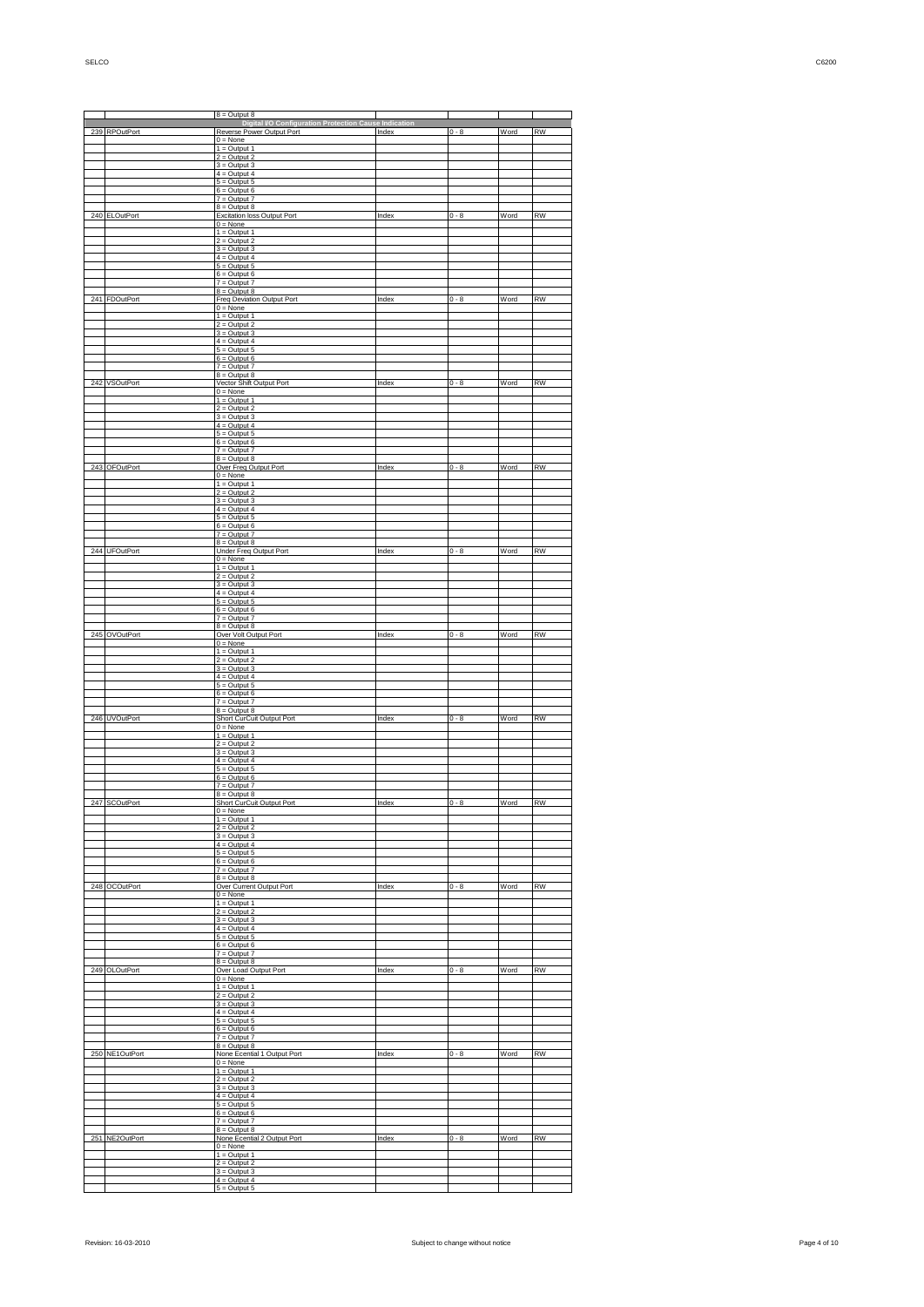|     |                  | $8 =$ Output $8$                                                                   |       |         |      |           |
|-----|------------------|------------------------------------------------------------------------------------|-------|---------|------|-----------|
| 239 | <b>RPOutPort</b> | Digital I/O Configuration Protection Cause Indication<br>Reverse Power Output Port | Index | $0 - 8$ | Word | <b>RW</b> |
|     |                  | $0 = None$                                                                         |       |         |      |           |
|     |                  | $1 =$ Output 1<br>$2 =$ Output 2                                                   |       |         |      |           |
|     |                  | $3 =$ Output $3$<br>$4 =$ Output 4                                                 |       |         |      |           |
|     |                  | $5 =$ Output 5<br>$6 =$ Output $6$                                                 |       |         |      |           |
|     |                  | $7 =$ Output $7$<br>$8 =$ Output $8$                                               |       |         |      |           |
| 240 | <b>ELOutPort</b> | Excitation loss Output Port                                                        | Index | $0 - 8$ | Word | <b>RW</b> |
|     |                  | $0 = None$<br>$1 =$ Output 1                                                       |       |         |      |           |
|     |                  | $2 =$ Output 2<br>$3 =$ Output $3$                                                 |       |         |      |           |
|     |                  | $4 =$ Output 4<br>$5 =$ Output 5                                                   |       |         |      |           |
|     |                  | $6 =$ Output $6$<br>$7 =$ Output $7$                                               |       |         |      |           |
|     |                  | $8 =$ Output $8$                                                                   |       |         |      |           |
| 241 | FDOutPort        | Freq Deviation Output Port<br>$0 = None$                                           | Index | $0 - 8$ | Word | <b>RW</b> |
|     |                  | $1 =$ Output 1<br>$2 =$ Output 2                                                   |       |         |      |           |
|     |                  | $3 =$ Output $3$<br>$4 =$ Output 4                                                 |       |         |      |           |
|     |                  | $5 =$ Output 5<br>$6 =$ Output $6$                                                 |       |         |      |           |
|     |                  | $7 =$ Output $7$<br>$8 =$ Output $8$                                               |       |         |      |           |
| 242 | <b>VSOutPort</b> | Vector Shift Output Port                                                           | Index | $0 - 8$ | Word | <b>RW</b> |
|     |                  | $0 = None$<br>$1 =$ Output 1                                                       |       |         |      |           |
|     |                  | $2 =$ Output 2<br>$3 =$ Output $3$                                                 |       |         |      |           |
|     |                  | $4 =$ Output 4<br>$5 =$ Output 5                                                   |       |         |      |           |
|     |                  | $6 =$ Output $6$<br>$7 =$ Output $7$                                               |       |         |      |           |
|     |                  | $8 =$ Output $8$                                                                   |       |         |      |           |
| 243 | <b>OFOutPort</b> | Over Freq Output Port<br>$0 = None$                                                | Index | $0 - 8$ | Word | <b>RW</b> |
|     |                  | $1 =$ Output 1<br>$2 =$ Output 2                                                   |       |         |      |           |
|     |                  | $3 =$ Output $3$<br>$4 =$ Output 4                                                 |       |         |      |           |
|     |                  | $5 =$ Output 5<br>$6 =$ Output $6$                                                 |       |         |      |           |
|     |                  | $7 =$ Output $7$<br>$8 =$ Output $8$                                               |       |         |      |           |
|     | 244 UFOutPort    | <b>Under Freq Output Port</b>                                                      | Index | $0 - 8$ | Word | <b>RW</b> |
|     |                  | $0 = None$<br>$1 =$ Output 1                                                       |       |         |      |           |
|     |                  | $2 =$ Output 2<br>$3 =$ Output $3$                                                 |       |         |      |           |
|     |                  | $\overline{4}$ = Output 4<br>$5 =$ Output $5$                                      |       |         |      |           |
|     |                  | $6 =$ Output $6$<br>$7 =$ Output $7$                                               |       |         |      |           |
| 245 |                  | $8 =$ Output $8$                                                                   |       |         | Word | <b>RW</b> |
|     | <b>OVOutPort</b> | Over Volt Output Port<br>$0 = None$                                                | Index | $0 - 8$ |      |           |
|     |                  | $1 =$ Output 1<br>$2 =$ Output 2                                                   |       |         |      |           |
|     |                  | $3 =$ Output $3$<br>$4 =$ Output 4                                                 |       |         |      |           |
|     |                  | $5 =$ Output $5$<br>$6 =$ Output $6$                                               |       |         |      |           |
|     |                  | $7 =$ Output $7$<br>$8 =$ Output $8$                                               |       |         |      |           |
| 246 | <b>UVOutPort</b> | Short CurCuit Output Port<br>$0 = None$                                            | Index | $0 - 8$ | Word | <b>RW</b> |
|     |                  | $1 =$ Output 1                                                                     |       |         |      |           |
|     |                  | $2 =$ Output 2<br>$3 =$ Output $3$                                                 |       |         |      |           |
|     |                  | $4 =$ Output 4<br>$5 =$ Output $5$                                                 |       |         |      |           |
|     |                  | $6 =$ Output $6$<br>$7 = Output7$                                                  |       |         |      |           |
|     |                  | $8 =$ Output $8$<br>۱rt                                                            |       |         |      |           |
|     |                  | $0 = None$<br>$1 =$ Output 1                                                       |       |         |      |           |
|     |                  | $2 =$ Output 2                                                                     |       |         |      |           |
|     |                  | $3 =$ Output 3<br>$4 =$ Output 4                                                   |       |         |      |           |
|     |                  | $5 =$ Output $5$<br>$6 =$ Output $6$                                               |       |         |      |           |
|     |                  | $7 =$ Output $7$<br>$8 =$ Output $8$                                               |       |         |      |           |
| 248 | <b>OCOutPort</b> | Over Current Output Port<br>$0 = None$                                             | Index | $0 - 8$ | Word | <b>RW</b> |
|     |                  | $1 =$ Output 1<br>$2 =$ Output 2                                                   |       |         |      |           |
|     |                  | $3 =$ Output 3                                                                     |       |         |      |           |
|     |                  | $4 =$ Output 4<br>$5 =$ Output $5$                                                 |       |         |      |           |
|     |                  | $6 =$ Output $6$<br>$7 =$ Output $7$                                               |       |         |      |           |
| 249 | <b>OLOutPort</b> | $8 =$ Output $8$<br>Over Load Output Port                                          | Index | $0 - 8$ | Word | <b>RW</b> |
|     |                  | $0 = None$<br>$1 =$ Output 1                                                       |       |         |      |           |
|     |                  | $2 =$ Output 2                                                                     |       |         |      |           |
|     |                  | $3 =$ Output 3<br>$4 =$ Output 4                                                   |       |         |      |           |
|     |                  | $5 =$ Output 5<br>$6 =$ Output $6$                                                 |       |         |      |           |
|     |                  | $7 =$ Output $7$<br>$8 =$ Output $8$                                               |       |         |      |           |
| 250 | NE1OutPort       | None Ecential 1 Output Port<br>$0 = None$                                          | Index | $0 - 8$ | Word | <b>RW</b> |
|     |                  | $1 =$ Output 1<br>$2 =$ Output 2                                                   |       |         |      |           |
|     |                  | $3 =$ Output 3                                                                     |       |         |      |           |
|     |                  | $4 =$ Output 4<br>$5 =$ Output 5                                                   |       |         |      |           |
|     |                  | $6 =$ Output $6$<br>$7 =$ Output $7$                                               |       |         |      |           |
| 251 | NE2OutPort       | $8 =$ Output $8$<br>None Ecential 2 Output Port                                    | Index | $0 - 8$ | Word | <b>RW</b> |
|     |                  | $0 = None$<br>$1 = Output 1$                                                       |       |         |      |           |
|     |                  | $2 =$ Output 2<br>$3 =$ Output 3                                                   |       |         |      |           |
|     |                  | $4 =$ Output 4<br>$5 =$ Output $5$                                                 |       |         |      |           |
|     |                  |                                                                                    |       |         |      |           |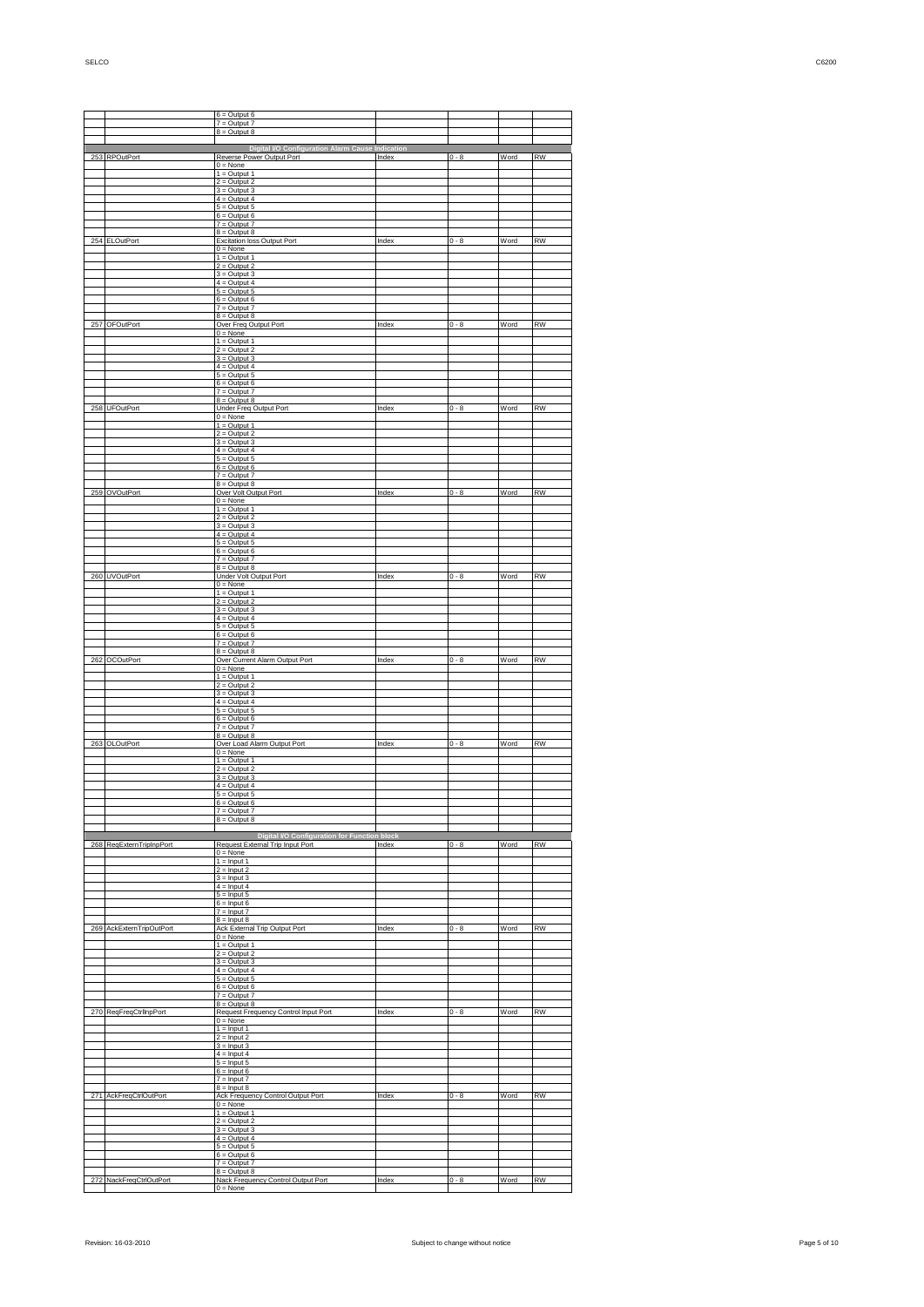|     |                             | $6 =$ Output $6$                                                             |       |         |      |           |
|-----|-----------------------------|------------------------------------------------------------------------------|-------|---------|------|-----------|
|     |                             | $7 =$ Output $7$                                                             |       |         |      |           |
|     |                             | $8 =$ Output $8$                                                             |       |         |      |           |
|     | 253 RPOutPort               | Digital VO Configuration Alarm Cause Indication<br>Reverse Power Output Port | Index | $0 - 8$ | Word | RW        |
|     |                             | $0 = None$                                                                   |       |         |      |           |
|     |                             | $1 =$ Output 1<br>$2 =$ Output 2                                             |       |         |      |           |
|     |                             | $3 =$ Output 3<br>$4 =$ Output 4                                             |       |         |      |           |
|     |                             | $5 =$ Output $5$                                                             |       |         |      |           |
|     |                             | $6 =$ Output $6$<br>$7 =$ Output $7$                                         |       |         |      |           |
|     | 254 ELOutPort               | $8 =$ Output $8$<br>Excitation loss Output Port                              | Index | $0 - 8$ | Word | <b>RW</b> |
|     |                             | $0 = None$                                                                   |       |         |      |           |
|     |                             | $1 =$ Output 1<br>$2 =$ Output 2                                             |       |         |      |           |
|     |                             | $3 =$ Output 3<br>$4 =$ Output 4                                             |       |         |      |           |
|     |                             | $5 =$ Output $5$                                                             |       |         |      |           |
|     |                             | $6 =$ Output $6$<br>$7 =$ Output $7$                                         |       |         |      |           |
|     | 257 OFOutPort               | $8 =$ Output $8$<br>Over Freq Output Port                                    | Index | $0 - 8$ | Word | <b>RW</b> |
|     |                             | $0 = None$<br>$1 =$ Output 1                                                 |       |         |      |           |
|     |                             | $2 =$ Output 2                                                               |       |         |      |           |
|     |                             | $3 =$ Output 3<br>$4 =$ Output 4                                             |       |         |      |           |
|     |                             | $5 =$ Output $5$<br>$6 =$ Output $6$                                         |       |         |      |           |
|     |                             | $7 =$ Output $7$                                                             |       |         |      |           |
|     | 258 UFOutPort               | $8 =$ Output $8$<br>Under Freq Output Port                                   | Index | $0 - 8$ | Word | RW        |
|     |                             | $0 = None$<br>$1 =$ Output 1                                                 |       |         |      |           |
|     |                             | $2 =$ Output 2                                                               |       |         |      |           |
|     |                             | $3 =$ Output $3$<br>$4 =$ Output 4                                           |       |         |      |           |
|     |                             | $5 =$ Output $5$<br>$6 =$ Output $6$                                         |       |         |      |           |
|     |                             | $7 =$ Output $7$                                                             |       |         |      |           |
|     | 259 OVOutPort               | $8 =$ Output $8$<br>Over Volt Output Port                                    | Index | $0 - 8$ | Word | <b>RW</b> |
|     |                             | $0 = None$<br>$1 =$ Output 1                                                 |       |         |      |           |
|     |                             | $2 =$ Output 2<br>$3 =$ Output 3                                             |       |         |      |           |
|     |                             | $4 =$ Output 4                                                               |       |         |      |           |
|     |                             | $5 =$ Output $5$<br>$6 =$ Output $6$                                         |       |         |      |           |
|     |                             | $7 =$ Output $7$<br>$8 =$ Output $8$                                         |       |         |      |           |
|     | 260 UVOutPort               | Under Volt Output Port                                                       | Index | $0 - 8$ | Word | <b>RW</b> |
|     |                             | $0 = None$<br>$1 =$ Output 1                                                 |       |         |      |           |
|     |                             | $2 =$ Output 2<br>$3 =$ Output 3                                             |       |         |      |           |
|     |                             | $4 =$ Output 4<br>$5 =$ Output $5$                                           |       |         |      |           |
|     |                             | $6 =$ Output 6                                                               |       |         |      |           |
|     |                             | $7 =$ Output $7$<br>$8 =$ Output $8$                                         |       |         |      |           |
|     | 262 OCOutPort               | Over Current Alarm Output Port<br>$0 = None$                                 | Index | $0 - 8$ | Word | <b>RW</b> |
|     |                             | $1 =$ Output 1                                                               |       |         |      |           |
|     |                             | $2 =$ Output 2<br>$3 =$ Output 3                                             |       |         |      |           |
|     |                             | $4 =$ Output 4<br>$5 =$ Output $5$                                           |       |         |      |           |
|     |                             | $6 =$ Output $6$                                                             |       |         |      |           |
|     |                             | $7 =$ Output $7$<br>$8 =$ Output $8$                                         |       |         |      |           |
|     | 263 OLOutPort               | Over Load Alarm Output Port<br>$0 = None$                                    | Index | $0 - 8$ | Word | <b>RW</b> |
|     |                             | $1 =$ Output 1<br>$2 =$ Output 2                                             |       |         |      |           |
|     |                             | $3 =$ Output 3                                                               |       |         |      |           |
|     |                             | $4 =$ Output 4<br>$5 =$ Output $5$                                           |       |         |      |           |
|     |                             | <b>Dutrud</b><br>$7 =$ Output $7$                                            |       |         |      |           |
|     |                             | $8 =$ Output $8$                                                             |       |         |      |           |
|     |                             | Digital I/O Configuration for Function block                                 |       |         |      |           |
| 268 | ReqExternTripInpPort        | Request External Trip Input Port<br>$0 = None$                               | Index | $0 - 8$ | Word | <b>RW</b> |
|     |                             | $1 =$ Input 1                                                                |       |         |      |           |
|     |                             | $2 =$ Input 2<br>$3 =$ Input 3                                               |       |         |      |           |
|     |                             | $4 =$ Input 4<br>$5 =$ Input 5                                               |       |         |      |           |
|     |                             | $6 =$ Input 6<br>$7 =$ Input $7$                                             |       |         |      |           |
|     |                             | $8 =$ Input 8                                                                |       |         |      |           |
| 269 | <b>AckExternTripOutPort</b> | <b>Ack External Trip Output Port</b><br>$0 = None$                           | Index | $0 - 8$ | Word | <b>RW</b> |
|     |                             | $1 =$ Output 1<br>$2 =$ Output 2                                             |       |         |      |           |
|     |                             | $3 =$ Output $3$                                                             |       |         |      |           |
|     |                             | $4 =$ Output 4<br>$5 =$ Output 5                                             |       |         |      |           |
|     |                             | $6 =$ Output $6$<br>$7 =$ Output $7$                                         |       |         |      |           |
| 270 |                             | $8 =$ Output $8$                                                             |       |         |      | <b>RW</b> |
|     | ReqFreqCtrlInpPort          | Request Frequency Control Input Port<br>$0 = None$                           | Index | $0 - 8$ | Word |           |
|     |                             | $1 =$ Input 1<br>$2 =$ Input 2                                               |       |         |      |           |
|     |                             | $3 =$ Input 3                                                                |       |         |      |           |
|     |                             | $4 =$ Input 4<br>$5 =$ Input 5                                               |       |         |      |           |
|     |                             | $6 =$ Input 6<br>$7 =$ Input $7$                                             |       |         |      |           |
|     |                             | $8 =$ Input 8                                                                |       |         |      |           |
| 271 | <b>AckFreqCtrlOutPort</b>   | Ack Frequency Control Output Port<br>$0 = None$                              | Index | $0 - 8$ | Word | <b>RW</b> |
|     |                             | $1 =$ Output 1<br>$2 =$ Output 2                                             |       |         |      |           |
|     |                             | $3 =$ Output 3                                                               |       |         |      |           |
|     |                             | $4 =$ Output 4<br>$5 =$ Output 5                                             |       |         |      |           |
|     |                             | $6 =$ Output $6$<br>$7 =$ Output $7$                                         |       |         |      |           |
|     |                             | $8 =$ Output $8$                                                             |       |         |      |           |
| 272 | NackFreqCtrlOutPort         | Nack Frequency Control Output Port<br>$0 = None$                             | Index | $0 - 8$ | Word | <b>RW</b> |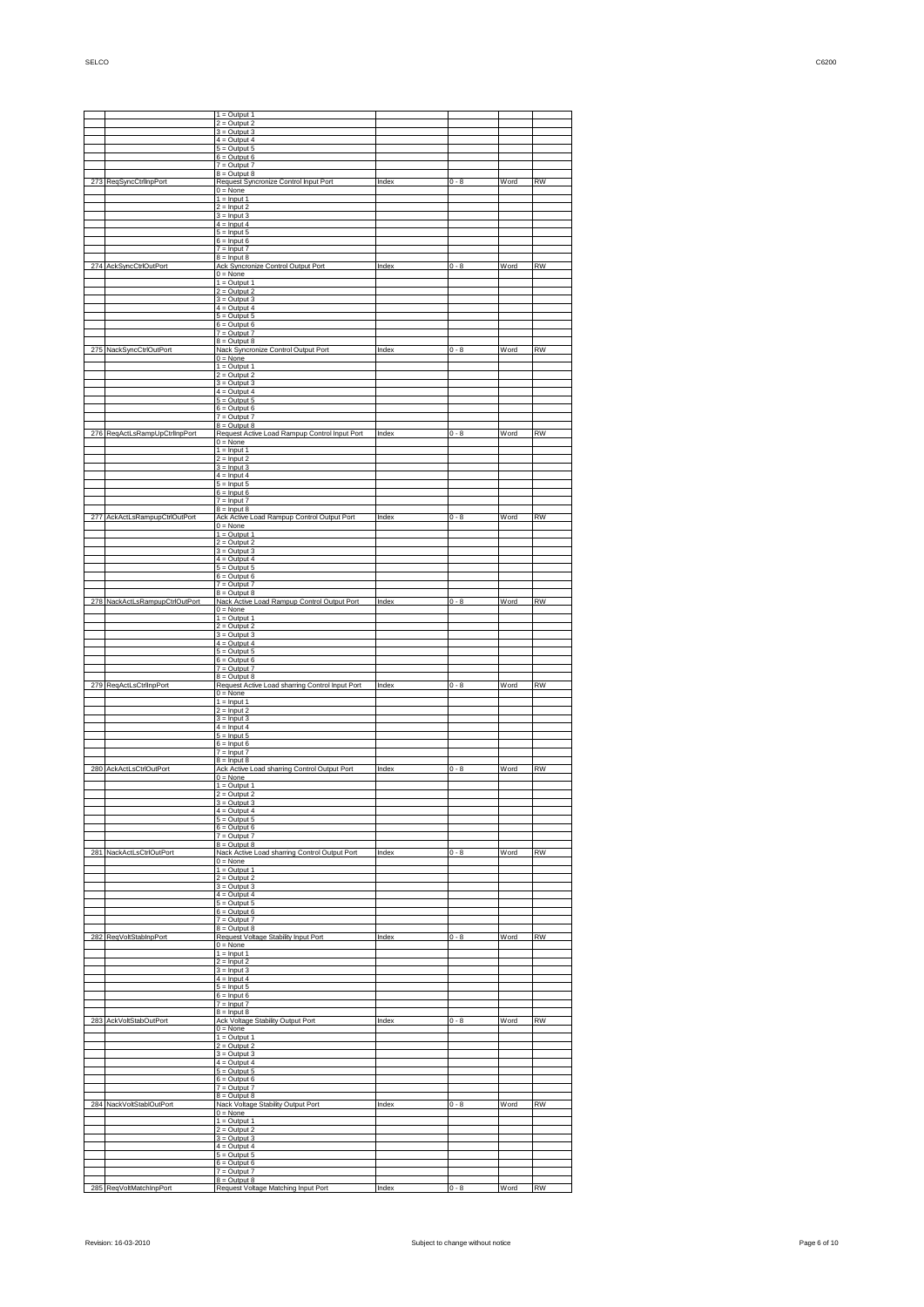|     |                            | $1 =$ Output 1                                                    |       |         |      |           |
|-----|----------------------------|-------------------------------------------------------------------|-------|---------|------|-----------|
|     |                            | $2 =$ Output 2<br>$3 =$ Output 3                                  |       |         |      |           |
|     |                            | $4 =$ Output 4                                                    |       |         |      |           |
|     |                            | $5 =$ Output $5$<br>$6 =$ Output 6                                |       |         |      |           |
|     |                            | $7 =$ Output $7$<br>$8 =$ Output $8$                              |       |         |      |           |
| 273 | <b>ReqSyncCtrlInpPort</b>  | Request Syncronize Control Input Port                             | Index | $0 - 8$ | Word | <b>RW</b> |
|     |                            | $0 = None$<br>$1 =$ Input 1                                       |       |         |      |           |
|     |                            | $2 =$ Input 2<br>$3 =$ Input 3                                    |       |         |      |           |
|     |                            | $4 =$ Input 4<br>$5 =$ Input 5                                    |       |         |      |           |
|     |                            | $6 =$ Input 6                                                     |       |         |      |           |
|     |                            | $7 =$ Input $7$<br>$8 =$ Input $8$                                |       |         |      |           |
| 274 | AckSyncCtrlOutPort         | Ack Syncronize Control Output Port<br>$0 = None$                  | Index | $0 - 8$ | Word | <b>RW</b> |
|     |                            | $1 =$ Output 1                                                    |       |         |      |           |
|     |                            | $2 =$ Output 2<br>$3 =$ Output 3                                  |       |         |      |           |
|     |                            | $4 =$ Output 4<br>$5 =$ Output $5$                                |       |         |      |           |
|     |                            | $6 =$ Output 6                                                    |       |         |      |           |
|     |                            | $7 =$ Output $7$<br>$8 =$ Output 8                                |       |         |      |           |
| 275 | NackSyncCtrlOutPort        | Nack Syncronize Control Output Port<br>$0 = None$                 | Index | $0 - 8$ | Word | <b>RW</b> |
|     |                            | $1 =$ Output 1                                                    |       |         |      |           |
|     |                            | $2 =$ Output 2<br>$3 =$ Output 3                                  |       |         |      |           |
|     |                            | $4 =$ Output 4<br>$5 =$ Output 5                                  |       |         |      |           |
|     |                            | $6 =$ Output 6                                                    |       |         |      |           |
|     |                            | $7 =$ Output $7$<br>$8 =$ Output $8$                              |       |         |      |           |
| 276 | ReqActLsRampUpCtrlInpPort  | Request Active Load Rampup Control Input Port<br>$0 = None$       | Index | $0 - 8$ | Word | <b>RW</b> |
|     |                            | $1 =$ Input 1                                                     |       |         |      |           |
|     |                            | $2 =$ Input 2<br>$3 =$ Input 3                                    |       |         |      |           |
|     |                            | $4 =$ Input 4<br>$5 =$ Input 5                                    |       |         |      |           |
|     |                            | $6 =$ Input 6                                                     |       |         |      |           |
|     |                            | $7 =$ Input $7$<br>$8 =$ Input 8                                  |       |         |      |           |
| 277 | AckActLsRampupCtrlOutPort  | Ack Active Load Rampup Control Output Port<br>$0 = None$          | Index | $0 - 8$ | Word | <b>RW</b> |
|     |                            | $1 =$ Output 1<br>$2 =$ Output 2                                  |       |         |      |           |
|     |                            | $3 =$ Output 3                                                    |       |         |      |           |
|     |                            | $4 =$ Output 4<br>$5 =$ Output $5$                                |       |         |      |           |
|     |                            | $6 =$ Output $6$<br>$7 =$ Output $7$                              |       |         |      |           |
|     |                            | $8 =$ Output 8                                                    |       |         |      |           |
| 278 | NackActLsRampupCtrlOutPort | Nack Active Load Rampup Control Output Port<br>$0 = None$         | Index | $0 - 8$ | Word | <b>RW</b> |
|     |                            | $1 =$ Output 1<br>$2 =$ Output 2                                  |       |         |      |           |
|     |                            | $3 =$ Output $3$                                                  |       |         |      |           |
|     |                            | $4 =$ Output 4<br>$5 =$ Output $5$                                |       |         |      |           |
|     |                            | $6 =$ Output $6$<br>$7 =$ Output $7$                              |       |         |      |           |
| 279 |                            | $8 =$ Output 8                                                    | Index | $0 - 8$ | Word | <b>RW</b> |
|     | ReqActLsCtrlInpPort        | Request Active Load sharring Control Input Port<br>$0 = None$     |       |         |      |           |
|     |                            | $1 =$ Input 1<br>$2 =$ Input 2                                    |       |         |      |           |
|     |                            | $3 =$ Input 3<br>$4 =$ Input 4                                    |       |         |      |           |
|     |                            | $5 =$ Input 5                                                     |       |         |      |           |
|     |                            | $6 =$ Input 6<br>$7 =$ Input $7$                                  |       |         |      |           |
| 280 | <b>AckActLsCtrlOutPort</b> | $8 =$ Input 8<br>Ack Active Load sharring Control Output Port     | Index | $0 - 8$ | Word | <b>RW</b> |
|     |                            | $0 = None$                                                        |       |         |      |           |
|     |                            | $1 =$ Output 1<br>$2 =$ Output 2                                  |       |         |      |           |
|     |                            | $3 =$ Output 3<br>$4 =$ Output 4                                  |       |         |      |           |
|     |                            | $5 =$ Output $5$                                                  |       |         |      |           |
|     |                            | $6 =$ Output $6$<br>$7 =$ Output $7$                              |       |         |      |           |
|     | 281 NackActLsCtrlOutPort   | $8 =$ Output $8$<br>Nack Active Load sharring Control Output Port | Index | $0 - 8$ | Word | <b>RW</b> |
|     |                            | $0 = None$                                                        |       |         |      |           |
|     |                            | $1 =$ Output 1<br>$2 =$ Output 2                                  |       |         |      |           |
|     |                            | $3 =$ Output 3<br>$4 =$ Output 4                                  |       |         |      |           |
|     |                            | $5 =$ Output $5$<br>$6 =$ Output $6$                              |       |         |      |           |
|     |                            | $7 =$ Output $7$                                                  |       |         |      |           |
| 282 | ReqVoltStabInpPort         | $8 =$ Output 8<br>Request Voltage Stability Input Port            | Index | $0 - 8$ | Word | <b>RW</b> |
|     |                            | $0 = None$<br>$1 =$ Input 1                                       |       |         |      |           |
|     |                            | $2 =$ Input 2                                                     |       |         |      |           |
|     |                            | $3 =$ Input 3<br>$4 =$ Input 4                                    |       |         |      |           |
|     |                            | $5 =$ Input 5<br>$6 =$ Input 6                                    |       |         |      |           |
|     |                            | $7 =$ Input $7$                                                   |       |         |      |           |
|     | 283 AckVoltStabOutPort     | $8 =$ Input 8<br>Ack Voltage Stability Output Port                | Index | $0 - 8$ | Word | <b>RW</b> |
|     |                            | $0 = None$<br>$1 =$ Output 1                                      |       |         |      |           |
|     |                            | $2 =$ Output 2                                                    |       |         |      |           |
|     |                            | $3 =$ Output $3$<br>$4 =$ Output 4                                |       |         |      |           |
|     |                            | $5 =$ Output $5$<br>$6 =$ Output $6$                              |       |         |      |           |
|     |                            | $7 =$ Output $7$                                                  |       |         |      |           |
|     | 284 NackVoltStablOutPort   | $8 =$ Output 8<br>Nack Voltage Stability Output Port              | Index | $0 - 8$ | Word | <b>RW</b> |
|     |                            | $0 = None$<br>$1 =$ Output 1                                      |       |         |      |           |
|     |                            | $2 =$ Output 2                                                    |       |         |      |           |
|     |                            | $3 =$ Output $3$<br>$4 =$ Output 4                                |       |         |      |           |
|     |                            | $5 =$ Output $5$<br>$6 =$ Output $6$                              |       |         |      |           |
|     |                            | $7 =$ Output $7$                                                  |       |         |      |           |
|     |                            | $8 =$ Output 8<br>Request Voltage Matching Input Port             | Index | $0 - 8$ | Word | <b>RW</b> |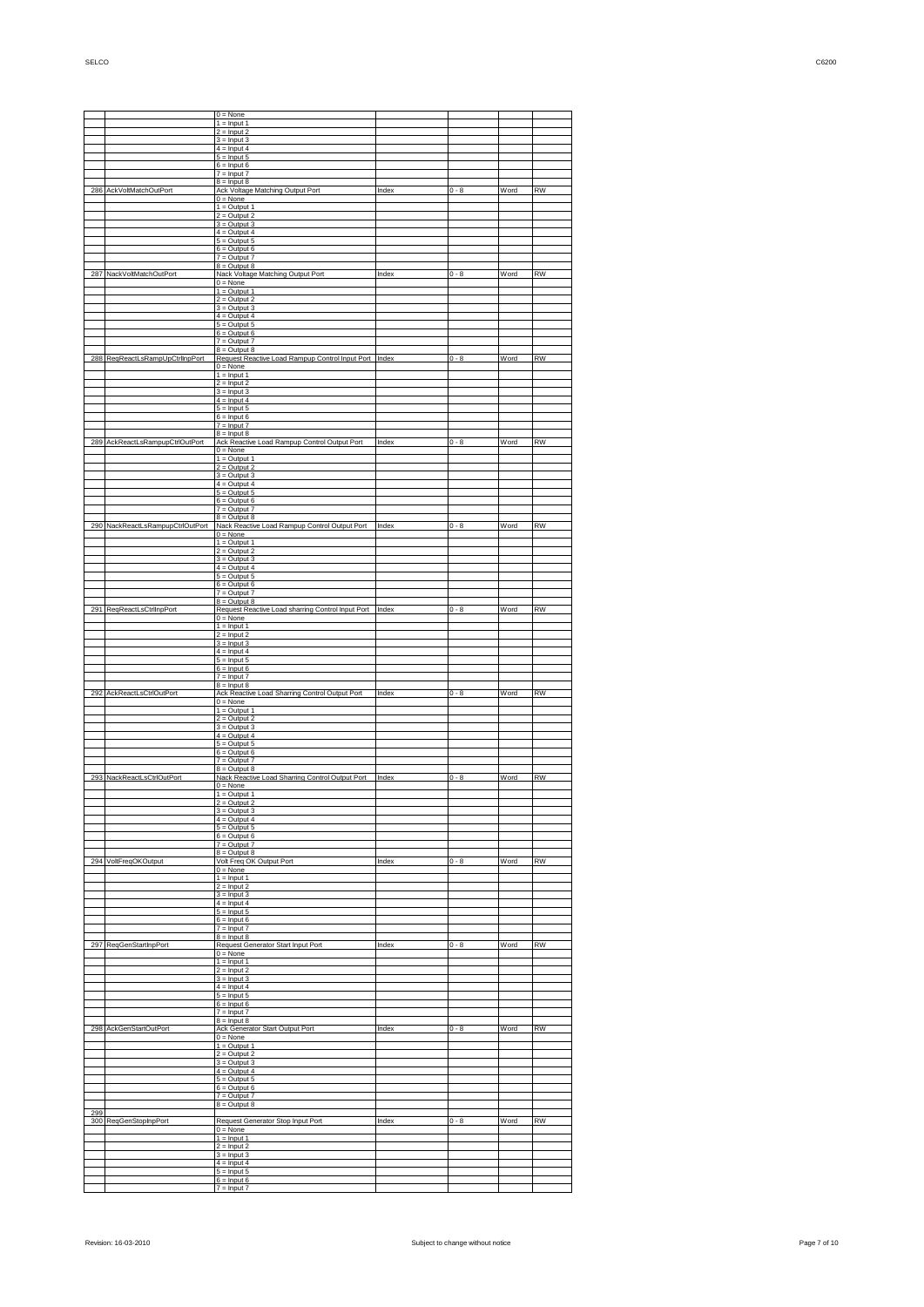$0 = \text{None}$ <br> $1 = \text{Input} 1$ <br> $2 = \text{Input} 2$  $=$  Input 3  $=$  Input 4  $=$  Input 5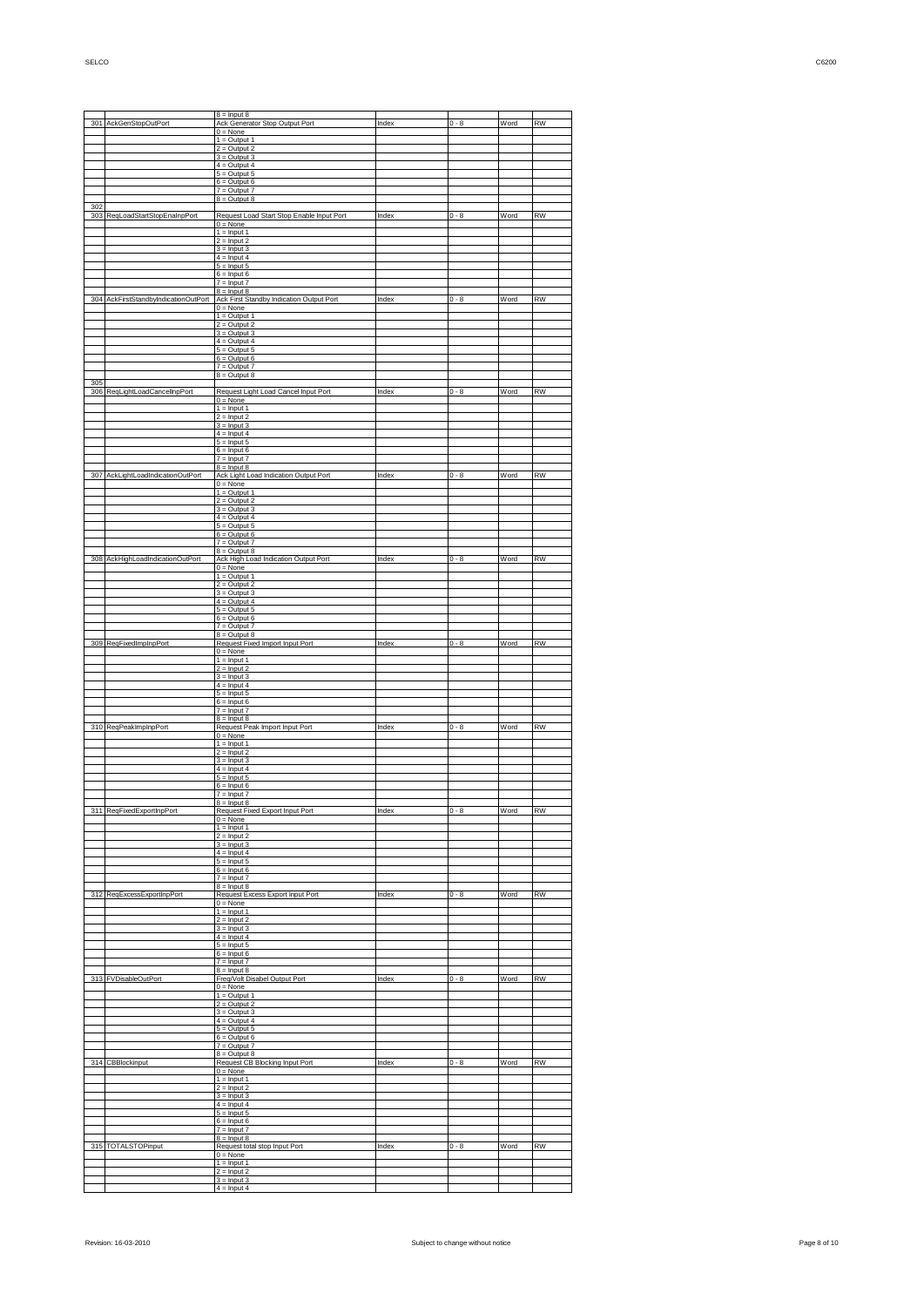|            |                                  | $8 =$ Input $8$                                                                             |       |         | Word | <b>RW</b> |
|------------|----------------------------------|---------------------------------------------------------------------------------------------|-------|---------|------|-----------|
|            | 301 AckGenStopOutPort            | Ack Generator Stop Output Port<br>$0 = None$                                                | Index | $0 - 8$ |      |           |
|            |                                  | $1 =$ Output 1<br>$2 =$ Output 2                                                            |       |         |      |           |
|            |                                  | $3 =$ Output $3$<br>$4 =$ Output 4                                                          |       |         |      |           |
|            |                                  | $5 =$ Output $5$                                                                            |       |         |      |           |
|            |                                  | $6 =$ Output $6$<br>$7 =$ Output $7$                                                        |       |         |      |           |
| 302        |                                  | $8 =$ Output $8$                                                                            |       |         |      |           |
| 303        | RegLoadStartStopEnaInpPort       | Request Load Start Stop Enable Input Port<br>$0 = None$                                     | Index | $0 - 8$ | Word | <b>RW</b> |
|            |                                  | $1 =$ Input 1                                                                               |       |         |      |           |
|            |                                  | $2 =$ Input 2<br>$3 =$ Input 3                                                              |       |         |      |           |
|            |                                  | $4 =$ Input 4<br>$5 =$ Input 5                                                              |       |         |      |           |
|            |                                  | $6 =$ Input 6                                                                               |       |         |      |           |
|            |                                  | $7 =$ Input $7$<br>$8 =$ Input 8                                                            |       |         |      |           |
|            |                                  | 304 AckFirstStandbyIndicationOutPort Ack First Standby Indication Output Port<br>$0 = None$ | Index | $0 - 8$ | Word | <b>RW</b> |
|            |                                  | $1 =$ Output 1<br>$2 =$ Output 2                                                            |       |         |      |           |
|            |                                  | $3 =$ Output $3$                                                                            |       |         |      |           |
|            |                                  | $4 =$ Output 4<br>$5 =$ Output $5$                                                          |       |         |      |           |
|            |                                  | $6 =$ Output $6$<br>$7 =$ Output $7$                                                        |       |         |      |           |
|            |                                  | $8 =$ Output $8$                                                                            |       |         |      |           |
| 305<br>306 | ReqLightLoadCancelInpPort        | Request Light Load Cancel Input Port                                                        | Index | $0 - 8$ | Word | <b>RW</b> |
|            |                                  | $0 = None$<br>$1 =$ Input 1                                                                 |       |         |      |           |
|            |                                  | $2 =$ Input 2                                                                               |       |         |      |           |
|            |                                  | $3 =$ Input 3<br>$4 =$ Input 4                                                              |       |         |      |           |
|            |                                  | $5 =$ Input 5<br>$6 =$ Input $6$                                                            |       |         |      |           |
|            |                                  | $7 =$ Input $7$<br>$8 =$ Input $8$                                                          |       |         |      |           |
| 307        | AckLightLoadIndicationOutPort    | Ack Light Load Indication Output Port                                                       | Index | $0 - 8$ | Word | <b>RW</b> |
|            |                                  | $0 = None$<br>$1 =$ Output 1                                                                |       |         |      |           |
|            |                                  | $2 =$ Output 2<br>$3 =$ Output $3$                                                          |       |         |      |           |
|            |                                  | $4 =$ Output 4                                                                              |       |         |      |           |
|            |                                  | $5 =$ Output $5$<br>$6 =$ Output $6$                                                        |       |         |      |           |
|            |                                  | $7 =$ Output $7$<br>$8 =$ Output $8$                                                        |       |         |      |           |
|            | 308 AckHighLoadIndicationOutPort | Ack High Load Indication Output Port<br>$0 = None$                                          | Index | $0 - 8$ | Word | <b>RW</b> |
|            |                                  | $1 = Output 1$                                                                              |       |         |      |           |
|            |                                  | $2 =$ Output 2<br>$3 =$ Output 3                                                            |       |         |      |           |
|            |                                  | $4 =$ Output 4<br>$5 =$ Output $5$                                                          |       |         |      |           |
|            |                                  | $6 =$ Output $6$                                                                            |       |         |      |           |
|            |                                  | $7 =$ Output $7$<br>$8 =$ Output $8$                                                        |       |         |      |           |
|            | 309 ReqFixedImpInpPort           | Request Fixed Import Input Port<br>$0 = None$                                               | Index | $0 - 8$ | Word | <b>RW</b> |
|            |                                  | $1 =$ Input 1                                                                               |       |         |      |           |
|            |                                  | $2 =$ Input 2<br>$3 =$ Input 3                                                              |       |         |      |           |
|            |                                  | $4 =$ Input 4<br>$5 =$ Input 5                                                              |       |         |      |           |
|            |                                  | $6 =$ Input 6<br>$7 =$ Input $7$                                                            |       |         |      |           |
|            |                                  | $8 =$ Input $8$                                                                             |       |         |      |           |
|            | 310 ReqPeakImpInpPort            | Request Peak Import Input Port<br>$0 = None$                                                | Index | $0 - 8$ | Word | <b>RW</b> |
|            |                                  | $1 =$ Input 1<br>$2 =$ Input 2                                                              |       |         |      |           |
|            |                                  | $3 =$ Input 3                                                                               |       |         |      |           |
|            |                                  | $4 =$ Input 4<br>$5 =$ Input 5                                                              |       |         |      |           |
|            |                                  | $6 =$ Input $6$<br>$7 =$ Input $7$                                                          |       |         |      |           |
|            | 311 ReqFixedExportInpPort        | $8 =$ Input $8$<br>Request Fixed Export Input Port                                          | Index | $0 - 8$ | Word | RW        |
|            |                                  | $0 = None$                                                                                  |       |         |      |           |
|            |                                  | $1 =$ Input 1<br>$2 =$ Input 2                                                              |       |         |      |           |
|            |                                  | $3 =$ Input 3<br>$4 =$ Input 4                                                              |       |         |      |           |
|            |                                  | $5 =$ Input 5<br>$6 =$ Input 6                                                              |       |         |      |           |
|            |                                  | $7 =$ Input $7$                                                                             |       |         |      |           |
|            | 312 ReqExcessExportInpPort       | $8 =$ Input $8$<br>Request Excess Export Input Port                                         | Index | $0 - 8$ | Word | <b>RW</b> |
|            |                                  | $0 = None$<br>$1 =$ Input 1                                                                 |       |         |      |           |
|            |                                  | $2 =$ Input 2                                                                               |       |         |      |           |
|            |                                  | $3 =$ Input 3<br>$4 =$ Input 4                                                              |       |         |      |           |
|            |                                  | $5 =$ Input 5<br>$6 =$ Input 6                                                              |       |         |      |           |
|            |                                  | $7 =$ Input $7$<br>$8 =$ Input $8$                                                          |       |         |      |           |
| 313        | <b>FVDisableOutPort</b>          | Freq/Volt Disabel Output Port                                                               | Index | $0 - 8$ | Word | <b>RW</b> |
|            |                                  | $0 = None$<br>$1 =$ Output 1                                                                |       |         |      |           |
|            |                                  | $2 =$ Output 2<br>$3 =$ Output 3                                                            |       |         |      |           |
|            |                                  | $4 =$ Output 4                                                                              |       |         |      |           |
|            |                                  | $5 =$ Output $5$<br>$6 =$ Output $6$                                                        |       |         |      |           |
|            |                                  | $7 =$ Output $7$<br>$8 =$ Output $8$                                                        |       |         |      |           |
|            | 314 CBBlockinput                 | Request CB Blocking Input Port                                                              | Index | $0 - 8$ | Word | <b>RW</b> |
|            |                                  | $0 = None$<br>$1 =$ Input 1                                                                 |       |         |      |           |
|            |                                  | $2 =$ Input 2<br>$3 =$ Input 3                                                              |       |         |      |           |
|            |                                  | $4 =$ Input 4<br>$5 =$ Input 5                                                              |       |         |      |           |
|            |                                  | $6 =$ Input 6                                                                               |       |         |      |           |
|            |                                  | $7 =$ Input $7$<br>$8 =$ Input 8                                                            |       |         |      |           |
|            | 315 TOTALSTOPinput               | Request total stop Input Port<br>$0 = None$                                                 | Index | $0 - 8$ | Word | <b>RW</b> |
|            |                                  | $1 =$ Input 1                                                                               |       |         |      |           |
|            |                                  | $2 =$ Input 2<br>$3 =$ Input 3                                                              |       |         |      |           |
|            |                                  | $4 =$ Input 4                                                                               |       |         |      |           |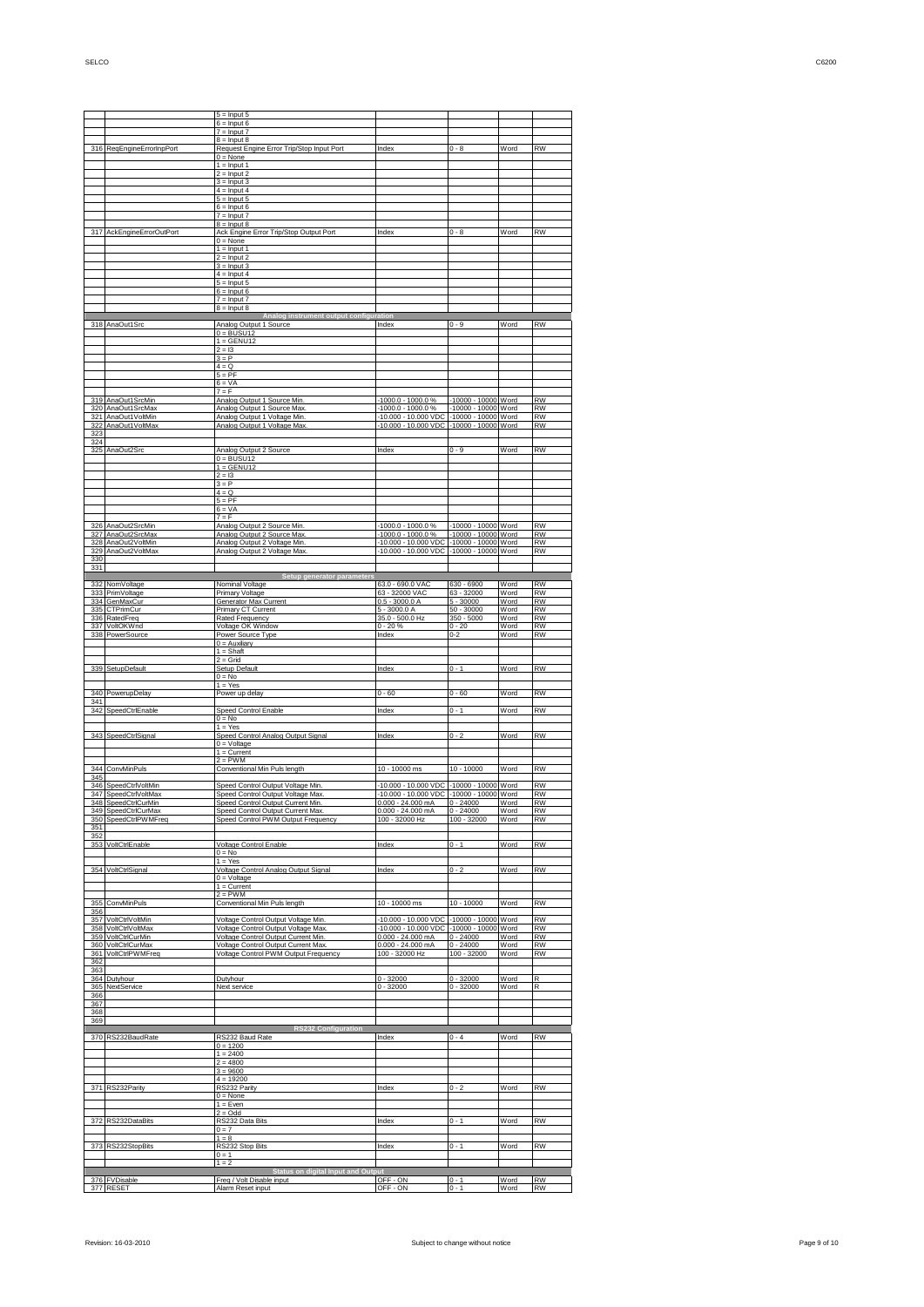5 = Input 5 6 = Input 6  $=$  Input